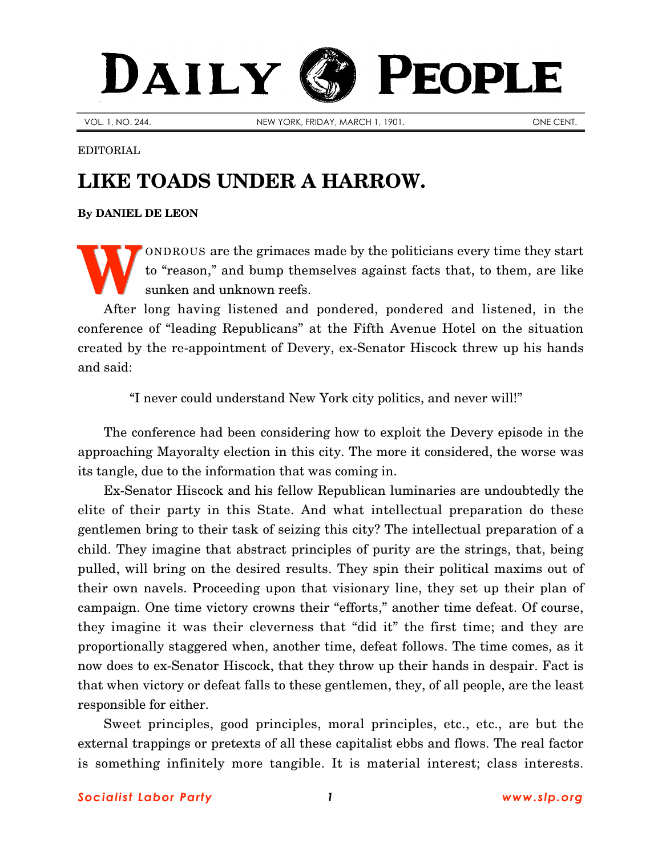## PEOPLE DAILY

VOL. 1, NO. 244. NEW YORK, FRIDAY, MARCH 1, 1901. ONE CENT.

EDITORIAL

## **LIKE TOADS UNDER A HARROW.**

**By [DANIEL DE LEON](http://www.slp.org/De_Leon.htm)**

ONDROUS are the grimaces made by the politicians every time they start to "reason," and bump themselves against facts that, to them, are like sunken and unknown reefs. **W**

After long having listened and pondered, pondered and listened, in the conference of "leading Republicans" at the Fifth Avenue Hotel on the situation created by the re-appointment of Devery, ex-Senator Hiscock threw up his hands and said:

"I never could understand New York city politics, and never will!"

The conference had been considering how to exploit the Devery episode in the approaching Mayoralty election in this city. The more it considered, the worse was its tangle, due to the information that was coming in.

Ex-Senator Hiscock and his fellow Republican luminaries are undoubtedly the elite of their party in this State. And what intellectual preparation do these gentlemen bring to their task of seizing this city? The intellectual preparation of a child. They imagine that abstract principles of purity are the strings, that, being pulled, will bring on the desired results. They spin their political maxims out of their own navels. Proceeding upon that visionary line, they set up their plan of campaign. One time victory crowns their "efforts," another time defeat. Of course, they imagine it was their cleverness that "did it" the first time; and they are proportionally staggered when, another time, defeat follows. The time comes, as it now does to ex-Senator Hiscock, that they throw up their hands in despair. Fact is that when victory or defeat falls to these gentlemen, they, of all people, are the least responsible for either.

Sweet principles, good principles, moral principles, etc., etc., are but the external trappings or pretexts of all these capitalist ebbs and flows. The real factor is something infinitely more tangible. It is material interest; class interests.